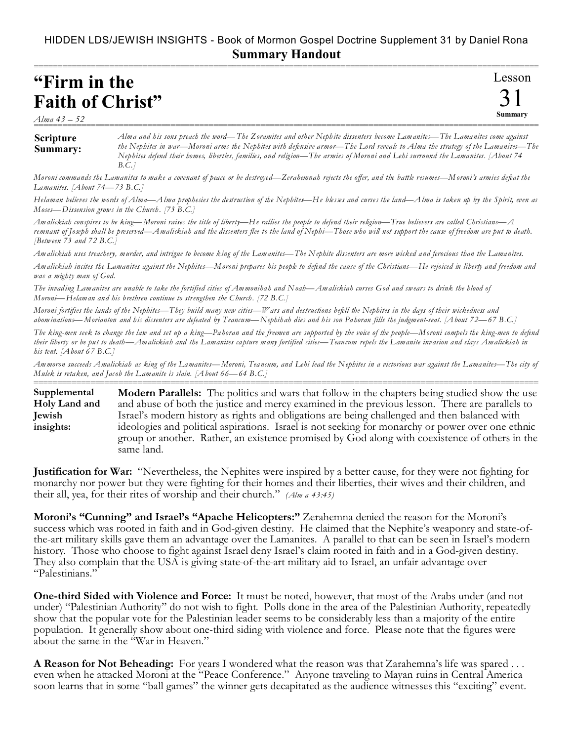## HIDDEN LDS/JEWISH INSIGHTS - Book of Mormon Gospel Doctrine Supplement 31 by Daniel Rona **Summary Handout**

===========================================================================================================

| "Firm in the             |  |  |
|--------------------------|--|--|
| <b>Faith of Christ</b> " |  |  |

*Alma 43 – 52*

## **Scripture Summary:** =========================================================================================================== *Alma and his sons preach the word—The Zoramites and other Nephite dissenters become Lamanites—The Lamanites come against the Nephites in war—Moroni arms the Nephites with defensive armor—The Lord reveals to Alma the strategy of the Lamanites—The Nephites defend their homes, liberties, families, and religion—The armies of Moroni and Lehi surround the Lamanites. [About 74 B.C.]*

Lesson

31 **Summary**

*Moroni commands the Lamanites to make a covenant of peace or be destroyed—Zerahemnah rejects the offer, and the battle resumes—Moroni's armies defeat the Lamanites. [About 74—73 B.C.]*

*Helaman believes the words of Alma—Alma prophesies the destruction of the Nephites—He blesses and curses the land—Alma is taken up by the Spirit, even as Moses—Dissension grows in the Church. [73 B.C.]*

*Amalickiah conspires to be king—Moroni raises the title of liberty—He rallies the people to defend their religion—True believers are called Christians—A remnant of Joseph shall be preserved—Amalickiah and the dissenters flee to the land of Nephi—Those who will not support the cause of freedom are put to death. [Between 73 and 72 B.C.]*

*Amalickiah uses treachery, murder, and intrigue to become king of the Lamanites—The Nephite dissenters are more wicked and ferocious than the Lamanites.*

*Amalickiah incites the Lamanites against the Nephites—Moroni prepares his people to defend the cause of the Christians—He rejoiced in liberty and freedom and was a mighty man of God.*

*The invading Lamanites are unable to take the fortified cities of Ammonihah and Noah—Amalickiah curses God and swears to drink the blood of Moroni—Helaman and his brethren continue to strengthen the Church. [72 B.C.]*

*Moroni fortifies the lands of the Nephites—They build many new cities—Wars and destructions befell the Nephites in the days of their wickedness and abominations—Morianton and his dissenters are defeated by Teancum—Nephihah dies and his son Pahoran fills the judgment-seat. [About 72—67 B.C.]*

*The king-men seek to change the law and set up a king—Pahoran and the freemen are supported by the voice of the people—Moroni compels the king-men to defend their liberty or be put to death—Amalickiah and the Lamanites capture many fortified cities—Teancum repels the Lamanite invasion and slays Amalickiah in his tent. [About 67 B.C.]*

*Ammoron succeeds Amalickiah as king of the Lamanites—Moroni, Teancum, and Lehi lead the Nephites in a victorious war against the Lamanites—The city of Mulek is retaken, and Jacob the Lamanite is slain. [About 66—64 B.C.]*

=========================================================================================================== **Modern Parallels:** The politics and wars that follow in the chapters being studied show the use and abuse of both the justice and mercy examined in the previous lesson. There are parallels to Israel's modern history as rights and obligations are being challenged and then balanced with ideologies and political aspirations. Israel is not seeking for monarchy or power over one ethnic group or another. Rather, an existence promised by God along with coexistence of others in the same land. **Supplemental Holy Land and Jewish insights:**

**Justification for War:** "Nevertheless, the Nephites were inspired by a better cause, for they were not fighting for monarchy nor power but they were fighting for their homes and their liberties, their wives and their children, and their all, yea, for their rites of worship and their church." *(Alm a 43:45)*

**Moroni's "Cunning" and Israel's "Apache Helicopters:"** Zerahemna denied the reason for the Moroni's success which was rooted in faith and in God-given destiny. He claimed that the Nephite's weaponry and state-ofthe-art military skills gave them an advantage over the Lamanites. A parallel to that can be seen in Israel's modern history. Those who choose to fight against Israel deny Israel's claim rooted in faith and in a God-given destiny. They also complain that the USA is giving state-of-the-art military aid to Israel, an unfair advantage over "Palestinians."

**One-third Sided with Violence and Force:** It must be noted, however, that most of the Arabs under (and not under) "Palestinian Authority" do not wish to fight. Polls done in the area of the Palestinian Authority, repeatedly show that the popular vote for the Palestinian leader seems to be considerably less than a majority of the entire population. It generally show about one-third siding with violence and force. Please note that the figures were about the same in the "War in Heaven."

**A Reason for Not Beheading:** For years I wondered what the reason was that Zarahemna's life was spared . . . even when he attacked Moroni at the "Peace Conference." Anyone traveling to Mayan ruins in Central America soon learns that in some "ball games" the winner gets decapitated as the audience witnesses this "exciting" event.